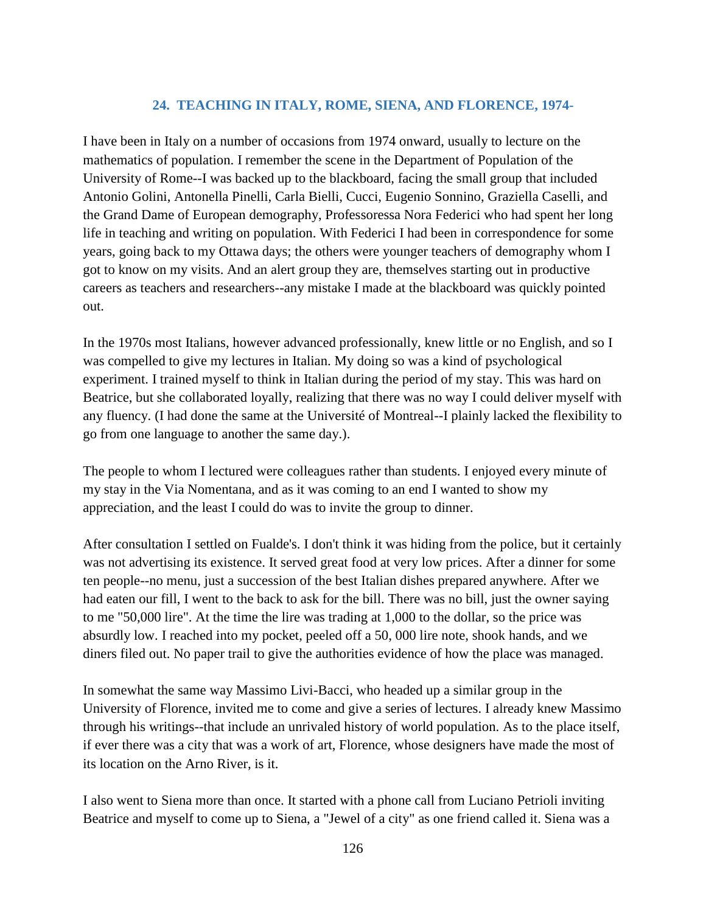## **24. TEACHING IN ITALY, ROME, SIENA, AND FLORENCE, 1974-**

I have been in Italy on a number of occasions from 1974 onward, usually to lecture on the mathematics of population. I remember the scene in the Department of Population of the University of Rome--I was backed up to the blackboard, facing the small group that included Antonio Golini, Antonella Pinelli, Carla Bielli, Cucci, Eugenio Sonnino, Graziella Caselli, and the Grand Dame of European demography, Professoressa Nora Federici who had spent her long life in teaching and writing on population. With Federici I had been in correspondence for some years, going back to my Ottawa days; the others were younger teachers of demography whom I got to know on my visits. And an alert group they are, themselves starting out in productive careers as teachers and researchers--any mistake I made at the blackboard was quickly pointed out.

In the 1970s most Italians, however advanced professionally, knew little or no English, and so I was compelled to give my lectures in Italian. My doing so was a kind of psychological experiment. I trained myself to think in Italian during the period of my stay. This was hard on Beatrice, but she collaborated loyally, realizing that there was no way I could deliver myself with any fluency. (I had done the same at the Université of Montreal--I plainly lacked the flexibility to go from one language to another the same day.).

The people to whom I lectured were colleagues rather than students. I enjoyed every minute of my stay in the Via Nomentana, and as it was coming to an end I wanted to show my appreciation, and the least I could do was to invite the group to dinner.

After consultation I settled on Fualde's. I don't think it was hiding from the police, but it certainly was not advertising its existence. It served great food at very low prices. After a dinner for some ten people--no menu, just a succession of the best Italian dishes prepared anywhere. After we had eaten our fill, I went to the back to ask for the bill. There was no bill, just the owner saying to me "50,000 lire". At the time the lire was trading at 1,000 to the dollar, so the price was absurdly low. I reached into my pocket, peeled off a 50, 000 lire note, shook hands, and we diners filed out. No paper trail to give the authorities evidence of how the place was managed.

In somewhat the same way Massimo Livi-Bacci, who headed up a similar group in the University of Florence, invited me to come and give a series of lectures. I already knew Massimo through his writings--that include an unrivaled history of world population. As to the place itself, if ever there was a city that was a work of art, Florence, whose designers have made the most of its location on the Arno River, is it.

I also went to Siena more than once. It started with a phone call from Luciano Petrioli inviting Beatrice and myself to come up to Siena, a "Jewel of a city" as one friend called it. Siena was a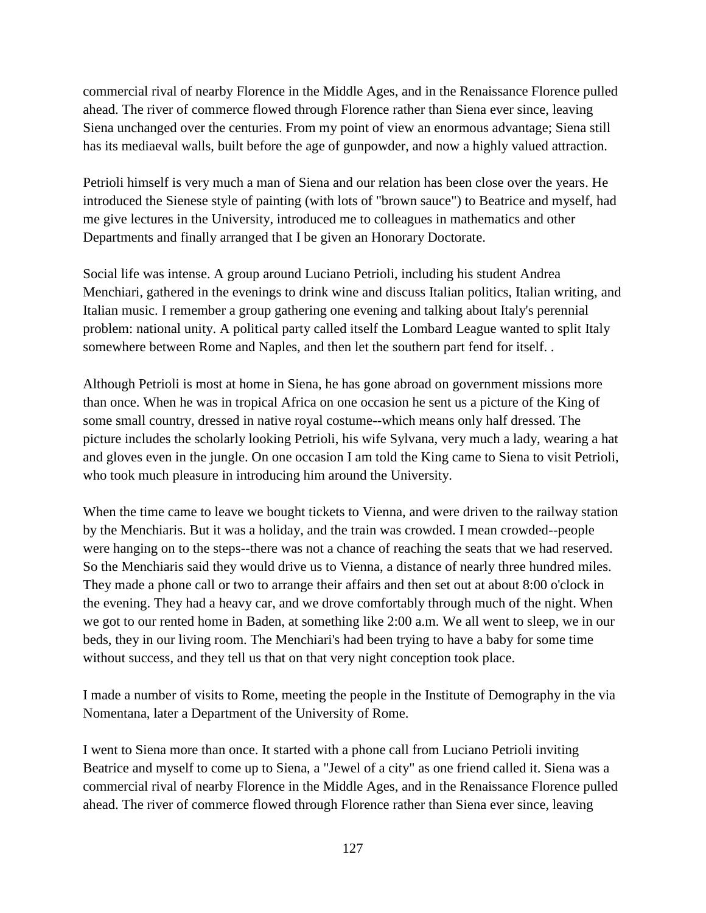commercial rival of nearby Florence in the Middle Ages, and in the Renaissance Florence pulled ahead. The river of commerce flowed through Florence rather than Siena ever since, leaving Siena unchanged over the centuries. From my point of view an enormous advantage; Siena still has its mediaeval walls, built before the age of gunpowder, and now a highly valued attraction.

Petrioli himself is very much a man of Siena and our relation has been close over the years. He introduced the Sienese style of painting (with lots of "brown sauce") to Beatrice and myself, had me give lectures in the University, introduced me to colleagues in mathematics and other Departments and finally arranged that I be given an Honorary Doctorate.

Social life was intense. A group around Luciano Petrioli, including his student Andrea Menchiari, gathered in the evenings to drink wine and discuss Italian politics, Italian writing, and Italian music. I remember a group gathering one evening and talking about Italy's perennial problem: national unity. A political party called itself the Lombard League wanted to split Italy somewhere between Rome and Naples, and then let the southern part fend for itself. .

Although Petrioli is most at home in Siena, he has gone abroad on government missions more than once. When he was in tropical Africa on one occasion he sent us a picture of the King of some small country, dressed in native royal costume--which means only half dressed. The picture includes the scholarly looking Petrioli, his wife Sylvana, very much a lady, wearing a hat and gloves even in the jungle. On one occasion I am told the King came to Siena to visit Petrioli, who took much pleasure in introducing him around the University.

When the time came to leave we bought tickets to Vienna, and were driven to the railway station by the Menchiaris. But it was a holiday, and the train was crowded. I mean crowded--people were hanging on to the steps--there was not a chance of reaching the seats that we had reserved. So the Menchiaris said they would drive us to Vienna, a distance of nearly three hundred miles. They made a phone call or two to arrange their affairs and then set out at about 8:00 o'clock in the evening. They had a heavy car, and we drove comfortably through much of the night. When we got to our rented home in Baden, at something like 2:00 a.m. We all went to sleep, we in our beds, they in our living room. The Menchiari's had been trying to have a baby for some time without success, and they tell us that on that very night conception took place.

I made a number of visits to Rome, meeting the people in the Institute of Demography in the via Nomentana, later a Department of the University of Rome.

I went to Siena more than once. It started with a phone call from Luciano Petrioli inviting Beatrice and myself to come up to Siena, a "Jewel of a city" as one friend called it. Siena was a commercial rival of nearby Florence in the Middle Ages, and in the Renaissance Florence pulled ahead. The river of commerce flowed through Florence rather than Siena ever since, leaving